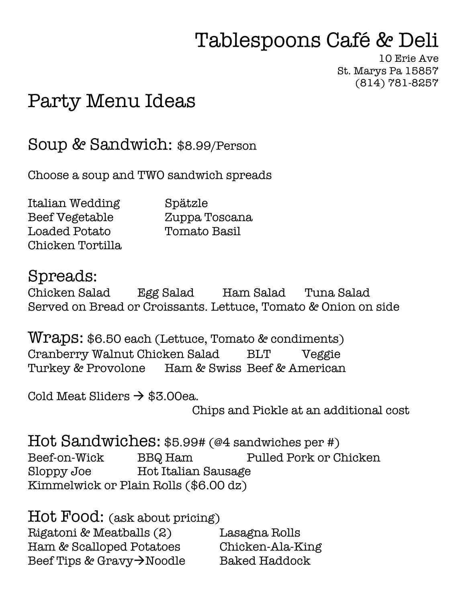## Tablespoons Café & Deli

10 Erie Ave St. Marys Pa 15857 (814) 781-8257

## Party Menu Ideas

Soup & Sandwich: \$8.99/Person

Choose a soup and TWO sandwich spreads

Italian Wedding Spätzle Beef Vegetable Zuppa Toscana Loaded Potato Tomato Basil Chicken Tortilla

Spreads:

Chicken Salad Egg Salad Ham Salad Tuna Salad Served on Bread or Croissants. Lettuce, Tomato & Onion on side

Wraps: \$6.50 each (Lettuce, Tomato & condiments) Cranberry Walnut Chicken Salad BLT Veggie Turkey & Provolone Ham & Swiss Beef & American

Cold Meat Sliders  $\rightarrow$  \$3.00ea.

Chips and Pickle at an additional cost

Hot Sandwiches: \$5.99# (@4 sandwiches per #) Beef-on-Wick BBQ Ham Pulled Pork or Chicken Sloppy Joe Hot Italian Sausage Kimmelwick or Plain Rolls (\$6.00 dz)

Hot Food: (ask about pricing) Rigatoni & Meatballs (2) Lasagna Rolls Ham & Scalloped Potatoes Chicken-Ala-King Beef Tips & Gravy $\rightarrow$ Noodle Baked Haddock